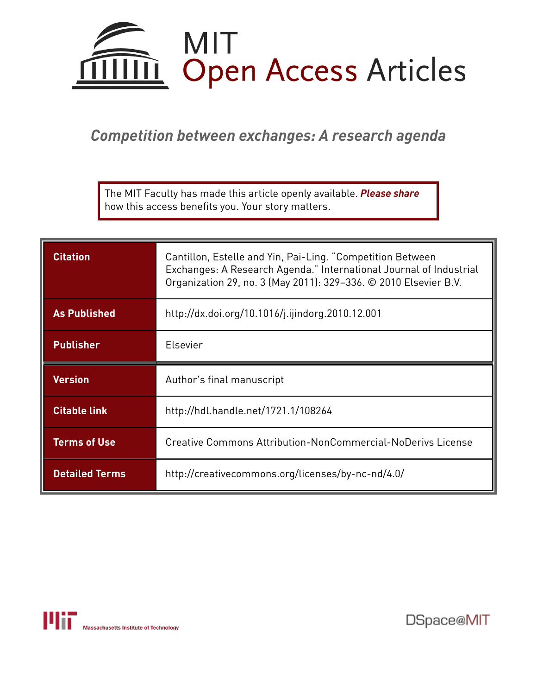

# *Competition between exchanges: A research agenda*

The MIT Faculty has made this article openly available. *[Please](https://libraries.mit.edu/forms/dspace-oa-articles.html) share* how this access benefits you. Your story matters.

| <b>Citation</b>       | Cantillon, Estelle and Yin, Pai-Ling. "Competition Between<br>Exchanges: A Research Agenda." International Journal of Industrial<br>Organization 29, no. 3 (May 2011): 329-336. © 2010 Elsevier B.V. |
|-----------------------|------------------------------------------------------------------------------------------------------------------------------------------------------------------------------------------------------|
| <b>As Published</b>   | http://dx.doi.org/10.1016/j.ijindorg.2010.12.001                                                                                                                                                     |
| <b>Publisher</b>      | Elsevier                                                                                                                                                                                             |
| <b>Version</b>        | Author's final manuscript                                                                                                                                                                            |
| <b>Citable link</b>   | http://hdl.handle.net/1721.1/108264                                                                                                                                                                  |
| <b>Terms of Use</b>   | Creative Commons Attribution-NonCommercial-NoDerivs License                                                                                                                                          |
| <b>Detailed Terms</b> | http://creativecommons.org/licenses/by-nc-nd/4.0/                                                                                                                                                    |



DSpace@MIT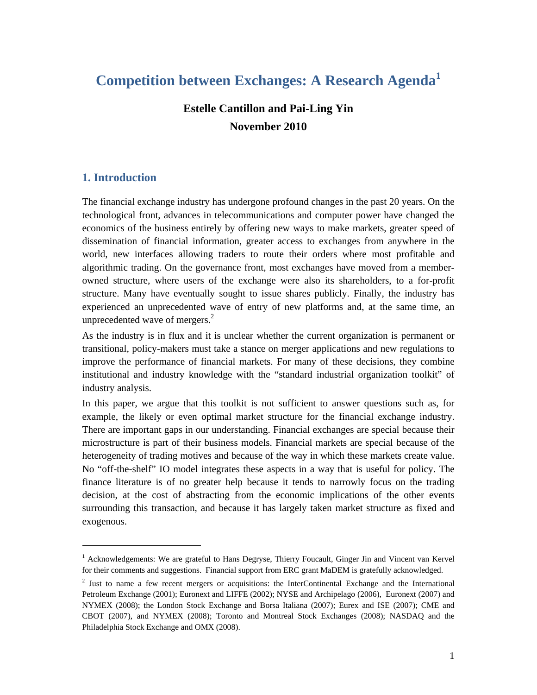## **Competition between Exchanges: A Research Agenda<sup>1</sup>**

## **Estelle Cantillon and Pai-Ling Yin November 2010**

## **1. Introduction**

-

The financial exchange industry has undergone profound changes in the past 20 years. On the technological front, advances in telecommunications and computer power have changed the economics of the business entirely by offering new ways to make markets, greater speed of dissemination of financial information, greater access to exchanges from anywhere in the world, new interfaces allowing traders to route their orders where most profitable and algorithmic trading. On the governance front, most exchanges have moved from a memberowned structure, where users of the exchange were also its shareholders, to a for-profit structure. Many have eventually sought to issue shares publicly. Finally, the industry has experienced an unprecedented wave of entry of new platforms and, at the same time, an unprecedented wave of mergers. $2$ 

As the industry is in flux and it is unclear whether the current organization is permanent or transitional, policy-makers must take a stance on merger applications and new regulations to improve the performance of financial markets. For many of these decisions, they combine institutional and industry knowledge with the "standard industrial organization toolkit" of industry analysis.

In this paper, we argue that this toolkit is not sufficient to answer questions such as, for example, the likely or even optimal market structure for the financial exchange industry. There are important gaps in our understanding. Financial exchanges are special because their microstructure is part of their business models. Financial markets are special because of the heterogeneity of trading motives and because of the way in which these markets create value. No "off-the-shelf" IO model integrates these aspects in a way that is useful for policy. The finance literature is of no greater help because it tends to narrowly focus on the trading decision, at the cost of abstracting from the economic implications of the other events surrounding this transaction, and because it has largely taken market structure as fixed and exogenous.

<sup>&</sup>lt;sup>1</sup> Acknowledgements: We are grateful to Hans Degryse, Thierry Foucault, Ginger Jin and Vincent van Kervel for their comments and suggestions. Financial support from ERC grant MaDEM is gratefully acknowledged.

 $2$  Just to name a few recent mergers or acquisitions: the InterContinental Exchange and the International Petroleum Exchange (2001); Euronext and LIFFE (2002); NYSE and Archipelago (2006), Euronext (2007) and NYMEX (2008); the London Stock Exchange and Borsa Italiana (2007); Eurex and ISE (2007); CME and CBOT (2007), and NYMEX (2008); Toronto and Montreal Stock Exchanges (2008); NASDAQ and the Philadelphia Stock Exchange and OMX (2008).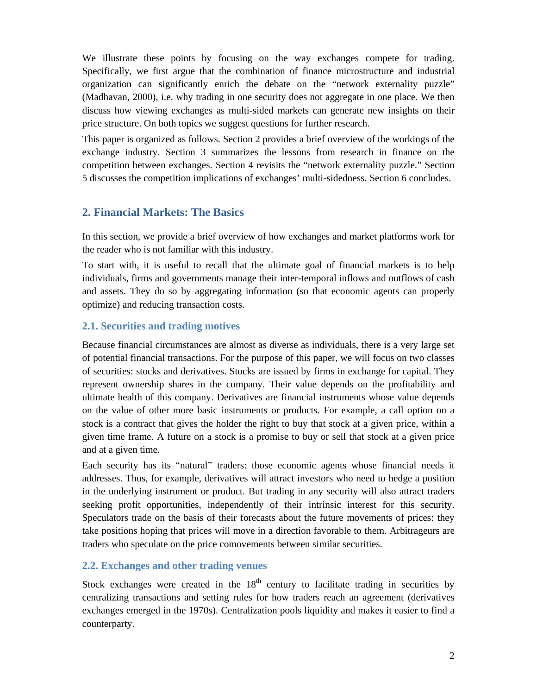We illustrate these points by focusing on the way exchanges compete for trading. Specifically, we first argue that the combination of finance microstructure and industrial organization can significantly enrich the debate on the "network externality puzzle" (Madhavan, 2000), i.e. why trading in one security does not aggregate in one place. We then discuss how viewing exchanges as multi-sided markets can generate new insights on their price structure. On both topics we suggest questions for further research.

This paper is organized as follows. Section 2 provides a brief overview of the workings of the exchange industry. Section 3 summarizes the lessons from research in finance on the competition between exchanges. Section 4 revisits the "network externality puzzle." Section 5 discusses the competition implications of exchanges' multi-sidedness. Section 6 concludes.

## **2. Financial Markets: The Basics**

In this section, we provide a brief overview of how exchanges and market platforms work for the reader who is not familiar with this industry.

To start with, it is useful to recall that the ultimate goal of financial markets is to help individuals, firms and governments manage their inter-temporal inflows and outflows of cash and assets. They do so by aggregating information (so that economic agents can properly optimize) and reducing transaction costs.

### **2.1. Securities and trading motives**

Because financial circumstances are almost as diverse as individuals, there is a very large set of potential financial transactions. For the purpose of this paper, we will focus on two classes of securities: stocks and derivatives. Stocks are issued by firms in exchange for capital. They represent ownership shares in the company. Their value depends on the profitability and ultimate health of this company. Derivatives are financial instruments whose value depends on the value of other more basic instruments or products. For example, a call option on a stock is a contract that gives the holder the right to buy that stock at a given price, within a given time frame. A future on a stock is a promise to buy or sell that stock at a given price and at a given time.

Each security has its "natural" traders: those economic agents whose financial needs it addresses. Thus, for example, derivatives will attract investors who need to hedge a position in the underlying instrument or product. But trading in any security will also attract traders seeking profit opportunities, independently of their intrinsic interest for this security. Speculators trade on the basis of their forecasts about the future movements of prices: they take positions hoping that prices will move in a direction favorable to them. Arbitrageurs are traders who speculate on the price comovements between similar securities.

#### **2.2. Exchanges and other trading venues**

Stock exchanges were created in the  $18<sup>th</sup>$  century to facilitate trading in securities by centralizing transactions and setting rules for how traders reach an agreement (derivatives exchanges emerged in the 1970s). Centralization pools liquidity and makes it easier to find a counterparty.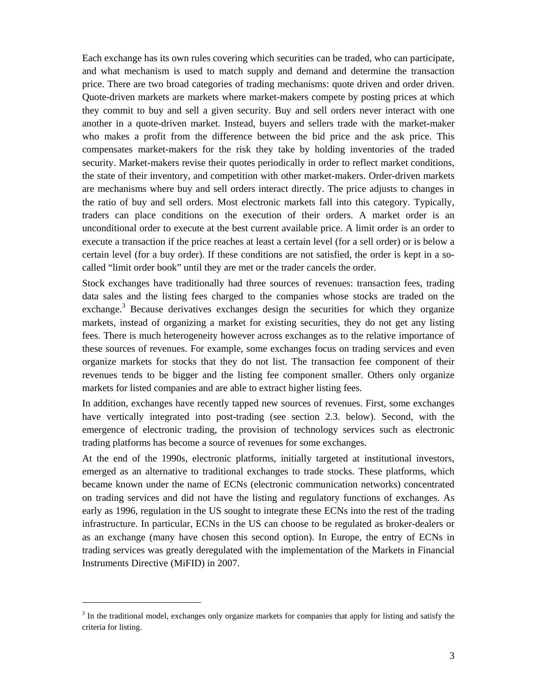Each exchange has its own rules covering which securities can be traded, who can participate, and what mechanism is used to match supply and demand and determine the transaction price. There are two broad categories of trading mechanisms: quote driven and order driven. Quote-driven markets are markets where market-makers compete by posting prices at which they commit to buy and sell a given security. Buy and sell orders never interact with one another in a quote-driven market. Instead, buyers and sellers trade with the market-maker who makes a profit from the difference between the bid price and the ask price. This compensates market-makers for the risk they take by holding inventories of the traded security. Market-makers revise their quotes periodically in order to reflect market conditions, the state of their inventory, and competition with other market-makers. Order-driven markets are mechanisms where buy and sell orders interact directly. The price adjusts to changes in the ratio of buy and sell orders. Most electronic markets fall into this category. Typically, traders can place conditions on the execution of their orders. A market order is an unconditional order to execute at the best current available price. A limit order is an order to execute a transaction if the price reaches at least a certain level (for a sell order) or is below a certain level (for a buy order). If these conditions are not satisfied, the order is kept in a socalled "limit order book" until they are met or the trader cancels the order.

Stock exchanges have traditionally had three sources of revenues: transaction fees, trading data sales and the listing fees charged to the companies whose stocks are traded on the exchange.<sup>3</sup> Because derivatives exchanges design the securities for which they organize markets, instead of organizing a market for existing securities, they do not get any listing fees. There is much heterogeneity however across exchanges as to the relative importance of these sources of revenues. For example, some exchanges focus on trading services and even organize markets for stocks that they do not list. The transaction fee component of their revenues tends to be bigger and the listing fee component smaller. Others only organize markets for listed companies and are able to extract higher listing fees.

In addition, exchanges have recently tapped new sources of revenues. First, some exchanges have vertically integrated into post-trading (see section 2.3. below). Second, with the emergence of electronic trading, the provision of technology services such as electronic trading platforms has become a source of revenues for some exchanges.

At the end of the 1990s, electronic platforms, initially targeted at institutional investors, emerged as an alternative to traditional exchanges to trade stocks. These platforms, which became known under the name of ECNs (electronic communication networks) concentrated on trading services and did not have the listing and regulatory functions of exchanges. As early as 1996, regulation in the US sought to integrate these ECNs into the rest of the trading infrastructure. In particular, ECNs in the US can choose to be regulated as broker-dealers or as an exchange (many have chosen this second option). In Europe, the entry of ECNs in trading services was greatly deregulated with the implementation of the Markets in Financial Instruments Directive (MiFID) in 2007.

 $3$  In the traditional model, exchanges only organize markets for companies that apply for listing and satisfy the criteria for listing.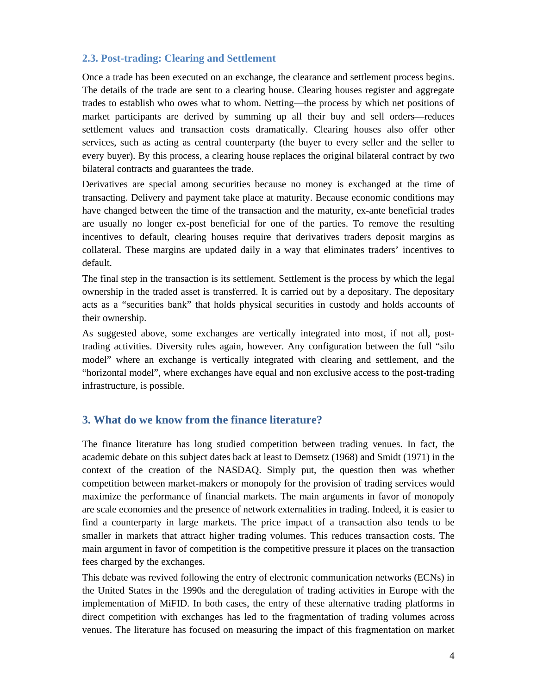## **2.3. Post-trading: Clearing and Settlement**

Once a trade has been executed on an exchange, the clearance and settlement process begins. The details of the trade are sent to a clearing house. Clearing houses register and aggregate trades to establish who owes what to whom. Netting—the process by which net positions of market participants are derived by summing up all their buy and sell orders—reduces settlement values and transaction costs dramatically. Clearing houses also offer other services, such as acting as central counterparty (the buyer to every seller and the seller to every buyer). By this process, a clearing house replaces the original bilateral contract by two bilateral contracts and guarantees the trade.

Derivatives are special among securities because no money is exchanged at the time of transacting. Delivery and payment take place at maturity. Because economic conditions may have changed between the time of the transaction and the maturity, ex-ante beneficial trades are usually no longer ex-post beneficial for one of the parties. To remove the resulting incentives to default, clearing houses require that derivatives traders deposit margins as collateral. These margins are updated daily in a way that eliminates traders' incentives to default.

The final step in the transaction is its settlement. Settlement is the process by which the legal ownership in the traded asset is transferred. It is carried out by a depositary. The depositary acts as a "securities bank" that holds physical securities in custody and holds accounts of their ownership.

As suggested above, some exchanges are vertically integrated into most, if not all, posttrading activities. Diversity rules again, however. Any configuration between the full "silo model" where an exchange is vertically integrated with clearing and settlement, and the "horizontal model", where exchanges have equal and non exclusive access to the post-trading infrastructure, is possible.

## **3. What do we know from the finance literature?**

The finance literature has long studied competition between trading venues. In fact, the academic debate on this subject dates back at least to Demsetz (1968) and Smidt (1971) in the context of the creation of the NASDAQ. Simply put, the question then was whether competition between market-makers or monopoly for the provision of trading services would maximize the performance of financial markets. The main arguments in favor of monopoly are scale economies and the presence of network externalities in trading. Indeed, it is easier to find a counterparty in large markets. The price impact of a transaction also tends to be smaller in markets that attract higher trading volumes. This reduces transaction costs. The main argument in favor of competition is the competitive pressure it places on the transaction fees charged by the exchanges.

This debate was revived following the entry of electronic communication networks (ECNs) in the United States in the 1990s and the deregulation of trading activities in Europe with the implementation of MiFID. In both cases, the entry of these alternative trading platforms in direct competition with exchanges has led to the fragmentation of trading volumes across venues. The literature has focused on measuring the impact of this fragmentation on market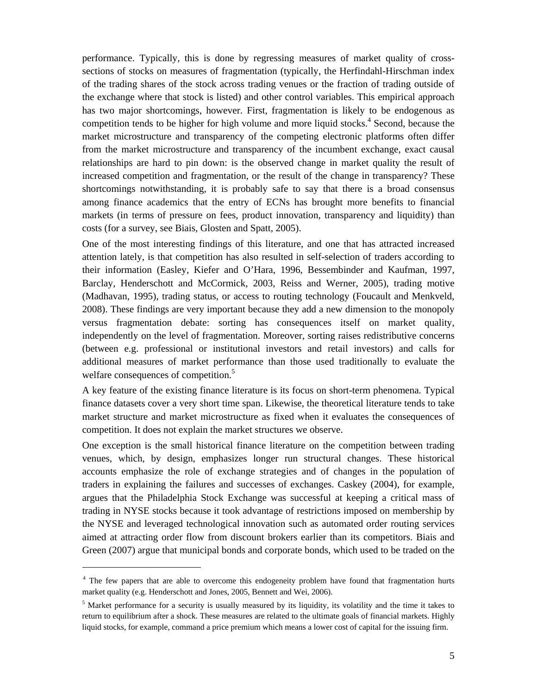performance. Typically, this is done by regressing measures of market quality of crosssections of stocks on measures of fragmentation (typically, the Herfindahl-Hirschman index of the trading shares of the stock across trading venues or the fraction of trading outside of the exchange where that stock is listed) and other control variables. This empirical approach has two major shortcomings, however. First, fragmentation is likely to be endogenous as competition tends to be higher for high volume and more liquid stocks.<sup>4</sup> Second, because the market microstructure and transparency of the competing electronic platforms often differ from the market microstructure and transparency of the incumbent exchange, exact causal relationships are hard to pin down: is the observed change in market quality the result of increased competition and fragmentation, or the result of the change in transparency? These shortcomings notwithstanding, it is probably safe to say that there is a broad consensus among finance academics that the entry of ECNs has brought more benefits to financial markets (in terms of pressure on fees, product innovation, transparency and liquidity) than costs (for a survey, see Biais, Glosten and Spatt, 2005).

One of the most interesting findings of this literature, and one that has attracted increased attention lately, is that competition has also resulted in self-selection of traders according to their information (Easley, Kiefer and O'Hara, 1996, Bessembinder and Kaufman, 1997, Barclay, Henderschott and McCormick, 2003, Reiss and Werner, 2005), trading motive (Madhavan, 1995), trading status, or access to routing technology (Foucault and Menkveld, 2008). These findings are very important because they add a new dimension to the monopoly versus fragmentation debate: sorting has consequences itself on market quality, independently on the level of fragmentation. Moreover, sorting raises redistributive concerns (between e.g. professional or institutional investors and retail investors) and calls for additional measures of market performance than those used traditionally to evaluate the welfare consequences of competition.<sup>5</sup>

A key feature of the existing finance literature is its focus on short-term phenomena. Typical finance datasets cover a very short time span. Likewise, the theoretical literature tends to take market structure and market microstructure as fixed when it evaluates the consequences of competition. It does not explain the market structures we observe.

One exception is the small historical finance literature on the competition between trading venues, which, by design, emphasizes longer run structural changes. These historical accounts emphasize the role of exchange strategies and of changes in the population of traders in explaining the failures and successes of exchanges. Caskey (2004), for example, argues that the Philadelphia Stock Exchange was successful at keeping a critical mass of trading in NYSE stocks because it took advantage of restrictions imposed on membership by the NYSE and leveraged technological innovation such as automated order routing services aimed at attracting order flow from discount brokers earlier than its competitors. Biais and Green (2007) argue that municipal bonds and corporate bonds, which used to be traded on the

<sup>&</sup>lt;sup>4</sup> The few papers that are able to overcome this endogeneity problem have found that fragmentation hurts market quality (e.g. Henderschott and Jones, 2005, Bennett and Wei, 2006).

<sup>&</sup>lt;sup>5</sup> Market performance for a security is usually measured by its liquidity, its volatility and the time it takes to return to equilibrium after a shock. These measures are related to the ultimate goals of financial markets. Highly liquid stocks, for example, command a price premium which means a lower cost of capital for the issuing firm.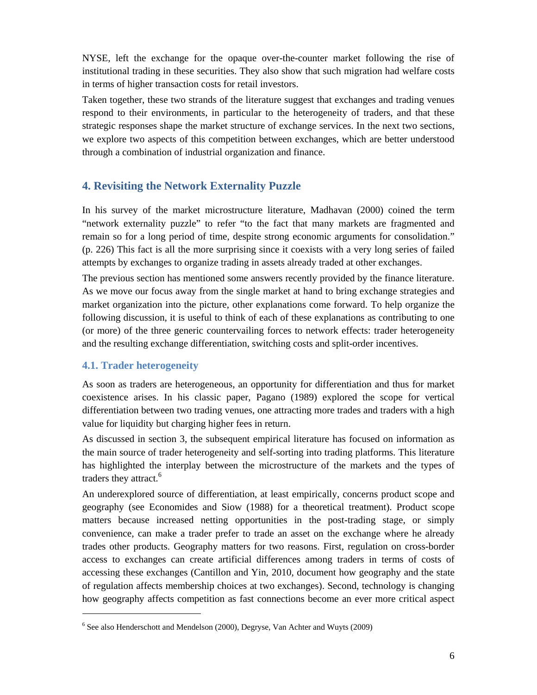NYSE, left the exchange for the opaque over-the-counter market following the rise of institutional trading in these securities. They also show that such migration had welfare costs in terms of higher transaction costs for retail investors.

Taken together, these two strands of the literature suggest that exchanges and trading venues respond to their environments, in particular to the heterogeneity of traders, and that these strategic responses shape the market structure of exchange services. In the next two sections, we explore two aspects of this competition between exchanges, which are better understood through a combination of industrial organization and finance.

## **4. Revisiting the Network Externality Puzzle**

In his survey of the market microstructure literature, Madhavan (2000) coined the term "network externality puzzle" to refer "to the fact that many markets are fragmented and remain so for a long period of time, despite strong economic arguments for consolidation." (p. 226) This fact is all the more surprising since it coexists with a very long series of failed attempts by exchanges to organize trading in assets already traded at other exchanges.

The previous section has mentioned some answers recently provided by the finance literature. As we move our focus away from the single market at hand to bring exchange strategies and market organization into the picture, other explanations come forward. To help organize the following discussion, it is useful to think of each of these explanations as contributing to one (or more) of the three generic countervailing forces to network effects: trader heterogeneity and the resulting exchange differentiation, switching costs and split-order incentives.

## **4.1. Trader heterogeneity**

-

As soon as traders are heterogeneous, an opportunity for differentiation and thus for market coexistence arises. In his classic paper, Pagano (1989) explored the scope for vertical differentiation between two trading venues, one attracting more trades and traders with a high value for liquidity but charging higher fees in return.

As discussed in section 3, the subsequent empirical literature has focused on information as the main source of trader heterogeneity and self-sorting into trading platforms. This literature has highlighted the interplay between the microstructure of the markets and the types of traders they attract.<sup>6</sup>

An underexplored source of differentiation, at least empirically, concerns product scope and geography (see Economides and Siow (1988) for a theoretical treatment). Product scope matters because increased netting opportunities in the post-trading stage, or simply convenience, can make a trader prefer to trade an asset on the exchange where he already trades other products. Geography matters for two reasons. First, regulation on cross-border access to exchanges can create artificial differences among traders in terms of costs of accessing these exchanges (Cantillon and Yin, 2010, document how geography and the state of regulation affects membership choices at two exchanges). Second, technology is changing how geography affects competition as fast connections become an ever more critical aspect

<sup>&</sup>lt;sup>6</sup> See also Henderschott and Mendelson (2000), Degryse, Van Achter and Wuyts (2009)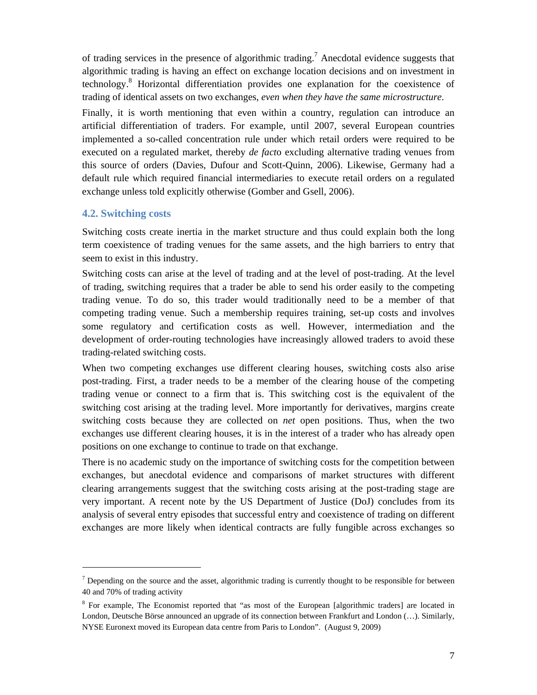of trading services in the presence of algorithmic trading.<sup>7</sup> Anecdotal evidence suggests that algorithmic trading is having an effect on exchange location decisions and on investment in technology.<sup>8</sup> Horizontal differentiation provides one explanation for the coexistence of trading of identical assets on two exchanges, *even when they have the same microstructure*.

Finally, it is worth mentioning that even within a country, regulation can introduce an artificial differentiation of traders. For example, until 2007, several European countries implemented a so-called concentration rule under which retail orders were required to be executed on a regulated market, thereby *de fact*o excluding alternative trading venues from this source of orders (Davies, Dufour and Scott-Quinn, 2006). Likewise, Germany had a default rule which required financial intermediaries to execute retail orders on a regulated exchange unless told explicitly otherwise (Gomber and Gsell, 2006).

#### **4.2. Switching costs**

-

Switching costs create inertia in the market structure and thus could explain both the long term coexistence of trading venues for the same assets, and the high barriers to entry that seem to exist in this industry.

Switching costs can arise at the level of trading and at the level of post-trading. At the level of trading, switching requires that a trader be able to send his order easily to the competing trading venue. To do so, this trader would traditionally need to be a member of that competing trading venue. Such a membership requires training, set-up costs and involves some regulatory and certification costs as well. However, intermediation and the development of order-routing technologies have increasingly allowed traders to avoid these trading-related switching costs.

When two competing exchanges use different clearing houses, switching costs also arise post-trading. First, a trader needs to be a member of the clearing house of the competing trading venue or connect to a firm that is. This switching cost is the equivalent of the switching cost arising at the trading level. More importantly for derivatives, margins create switching costs because they are collected on *net* open positions. Thus, when the two exchanges use different clearing houses, it is in the interest of a trader who has already open positions on one exchange to continue to trade on that exchange.

There is no academic study on the importance of switching costs for the competition between exchanges, but anecdotal evidence and comparisons of market structures with different clearing arrangements suggest that the switching costs arising at the post-trading stage are very important. A recent note by the US Department of Justice (DoJ) concludes from its analysis of several entry episodes that successful entry and coexistence of trading on different exchanges are more likely when identical contracts are fully fungible across exchanges so

 $<sup>7</sup>$  Depending on the source and the asset, algorithmic trading is currently thought to be responsible for between</sup> 40 and 70% of trading activity

<sup>&</sup>lt;sup>8</sup> For example, The Economist reported that "as most of the European [algorithmic traders] are located in London, Deutsche Börse announced an upgrade of its connection between Frankfurt and London (…). Similarly, NYSE Euronext moved its European data centre from Paris to London". (August 9, 2009)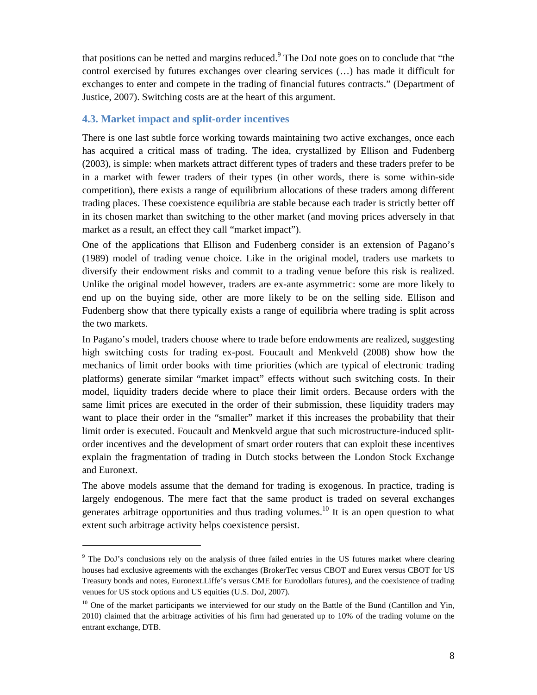that positions can be netted and margins reduced. $9$  The DoJ note goes on to conclude that "the control exercised by futures exchanges over clearing services (…) has made it difficult for exchanges to enter and compete in the trading of financial futures contracts." (Department of Justice, 2007). Switching costs are at the heart of this argument.

#### **4.3. Market impact and split-order incentives**

-

There is one last subtle force working towards maintaining two active exchanges, once each has acquired a critical mass of trading. The idea, crystallized by Ellison and Fudenberg (2003), is simple: when markets attract different types of traders and these traders prefer to be in a market with fewer traders of their types (in other words, there is some within-side competition), there exists a range of equilibrium allocations of these traders among different trading places. These coexistence equilibria are stable because each trader is strictly better off in its chosen market than switching to the other market (and moving prices adversely in that market as a result, an effect they call "market impact").

One of the applications that Ellison and Fudenberg consider is an extension of Pagano's (1989) model of trading venue choice. Like in the original model, traders use markets to diversify their endowment risks and commit to a trading venue before this risk is realized. Unlike the original model however, traders are ex-ante asymmetric: some are more likely to end up on the buying side, other are more likely to be on the selling side. Ellison and Fudenberg show that there typically exists a range of equilibria where trading is split across the two markets.

In Pagano's model, traders choose where to trade before endowments are realized, suggesting high switching costs for trading ex-post. Foucault and Menkveld (2008) show how the mechanics of limit order books with time priorities (which are typical of electronic trading platforms) generate similar "market impact" effects without such switching costs. In their model, liquidity traders decide where to place their limit orders. Because orders with the same limit prices are executed in the order of their submission, these liquidity traders may want to place their order in the "smaller" market if this increases the probability that their limit order is executed. Foucault and Menkveld argue that such microstructure-induced splitorder incentives and the development of smart order routers that can exploit these incentives explain the fragmentation of trading in Dutch stocks between the London Stock Exchange and Euronext.

The above models assume that the demand for trading is exogenous. In practice, trading is largely endogenous. The mere fact that the same product is traded on several exchanges generates arbitrage opportunities and thus trading volumes.<sup>10</sup> It is an open question to what extent such arbitrage activity helps coexistence persist.

<sup>&</sup>lt;sup>9</sup> The DoJ's conclusions rely on the analysis of three failed entries in the US futures market where clearing houses had exclusive agreements with the exchanges (BrokerTec versus CBOT and Eurex versus CBOT for US Treasury bonds and notes, Euronext.Liffe's versus CME for Eurodollars futures), and the coexistence of trading venues for US stock options and US equities (U.S. DoJ, 2007).

 $10$  One of the market participants we interviewed for our study on the Battle of the Bund (Cantillon and Yin, 2010) claimed that the arbitrage activities of his firm had generated up to 10% of the trading volume on the entrant exchange, DTB.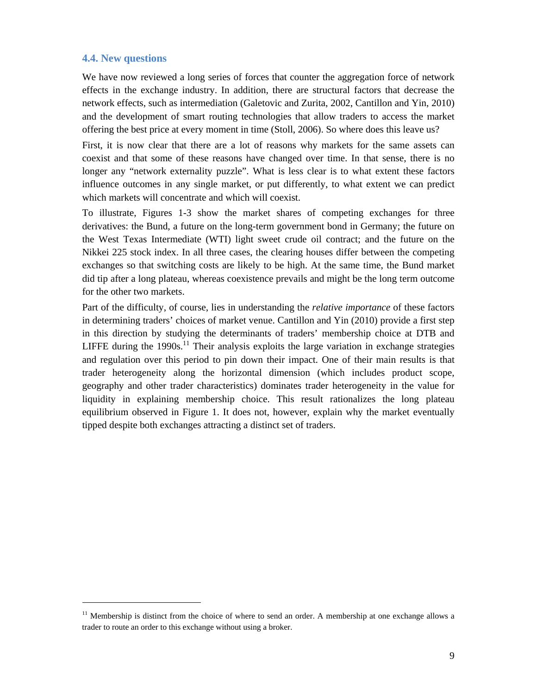### **4.4. New questions**

-

We have now reviewed a long series of forces that counter the aggregation force of network effects in the exchange industry. In addition, there are structural factors that decrease the network effects, such as intermediation (Galetovic and Zurita, 2002, Cantillon and Yin, 2010) and the development of smart routing technologies that allow traders to access the market offering the best price at every moment in time (Stoll, 2006). So where does this leave us?

First, it is now clear that there are a lot of reasons why markets for the same assets can coexist and that some of these reasons have changed over time. In that sense, there is no longer any "network externality puzzle". What is less clear is to what extent these factors influence outcomes in any single market, or put differently, to what extent we can predict which markets will concentrate and which will coexist.

To illustrate, Figures 1-3 show the market shares of competing exchanges for three derivatives: the Bund, a future on the long-term government bond in Germany; the future on the West Texas Intermediate (WTI) light sweet crude oil contract; and the future on the Nikkei 225 stock index. In all three cases, the clearing houses differ between the competing exchanges so that switching costs are likely to be high. At the same time, the Bund market did tip after a long plateau, whereas coexistence prevails and might be the long term outcome for the other two markets.

Part of the difficulty, of course, lies in understanding the *relative importance* of these factors in determining traders' choices of market venue. Cantillon and Yin (2010) provide a first step in this direction by studying the determinants of traders' membership choice at DTB and LIFFE during the  $1990s$ <sup>11</sup>. Their analysis exploits the large variation in exchange strategies and regulation over this period to pin down their impact. One of their main results is that trader heterogeneity along the horizontal dimension (which includes product scope, geography and other trader characteristics) dominates trader heterogeneity in the value for liquidity in explaining membership choice. This result rationalizes the long plateau equilibrium observed in Figure 1. It does not, however, explain why the market eventually tipped despite both exchanges attracting a distinct set of traders.

 $11$  Membership is distinct from the choice of where to send an order. A membership at one exchange allows a trader to route an order to this exchange without using a broker.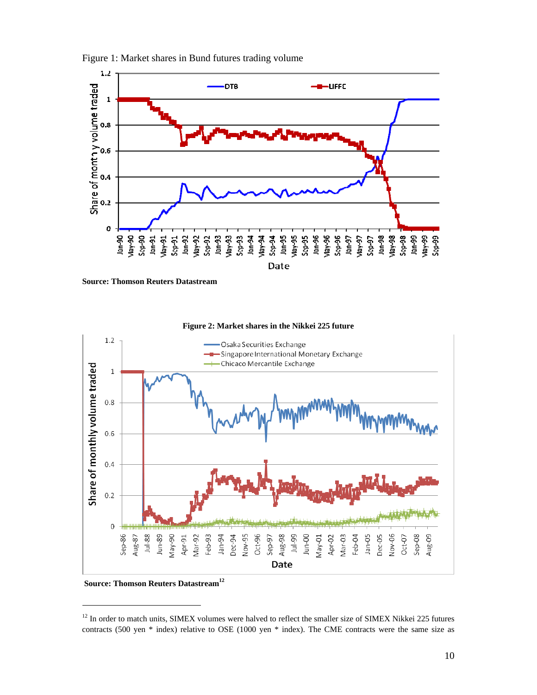

Figure 1: Market shares in Bund futures trading volume

**Source: Thomson Reuters Datastream** 



**Figure 2: Market shares in the Nikkei 225 future**

**Source: Thomson Reuters Datastream12**

<sup>&</sup>lt;sup>12</sup> In order to match units, SIMEX volumes were halved to reflect the smaller size of SIMEX Nikkei 225 futures contracts (500 yen \* index) relative to OSE (1000 yen \* index). The CME contracts were the same size as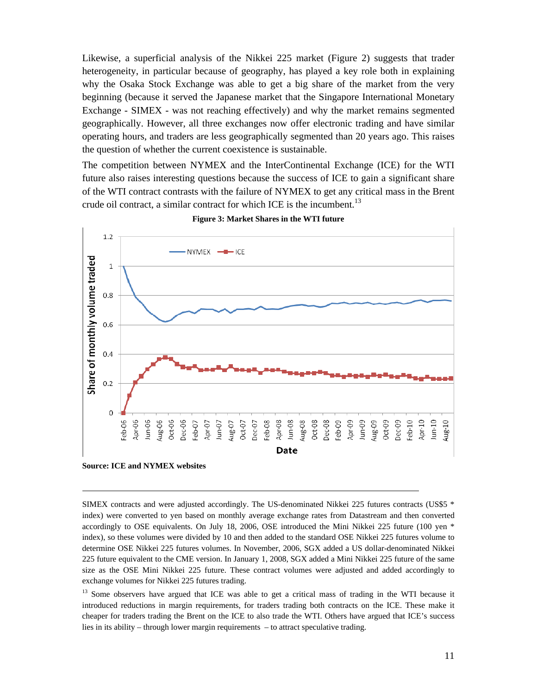Likewise, a superficial analysis of the Nikkei 225 market (Figure 2) suggests that trader heterogeneity, in particular because of geography, has played a key role both in explaining why the Osaka Stock Exchange was able to get a big share of the market from the very beginning (because it served the Japanese market that the Singapore International Monetary Exchange - SIMEX - was not reaching effectively) and why the market remains segmented geographically. However, all three exchanges now offer electronic trading and have similar operating hours, and traders are less geographically segmented than 20 years ago. This raises the question of whether the current coexistence is sustainable.

The competition between NYMEX and the InterContinental Exchange (ICE) for the WTI future also raises interesting questions because the success of ICE to gain a significant share of the WTI contract contrasts with the failure of NYMEX to get any critical mass in the Brent crude oil contract, a similar contract for which ICE is the incumbent.<sup>13</sup>





**Source: ICE and NYMEX websites** 

-

SIMEX contracts and were adjusted accordingly. The US-denominated Nikkei 225 futures contracts (US\$5 \* index) were converted to yen based on monthly average exchange rates from Datastream and then converted accordingly to OSE equivalents. On July 18, 2006, OSE introduced the Mini Nikkei 225 future (100 yen \* index), so these volumes were divided by 10 and then added to the standard OSE Nikkei 225 futures volume to determine OSE Nikkei 225 futures volumes. In November, 2006, SGX added a US dollar-denominated Nikkei 225 future equivalent to the CME version. In January 1, 2008, SGX added a Mini Nikkei 225 future of the same size as the OSE Mini Nikkei 225 future. These contract volumes were adjusted and added accordingly to exchange volumes for Nikkei 225 futures trading.

<sup>13</sup> Some observers have argued that ICE was able to get a critical mass of trading in the WTI because it introduced reductions in margin requirements, for traders trading both contracts on the ICE. These make it cheaper for traders trading the Brent on the ICE to also trade the WTI. Others have argued that ICE's success lies in its ability – through lower margin requirements – to attract speculative trading.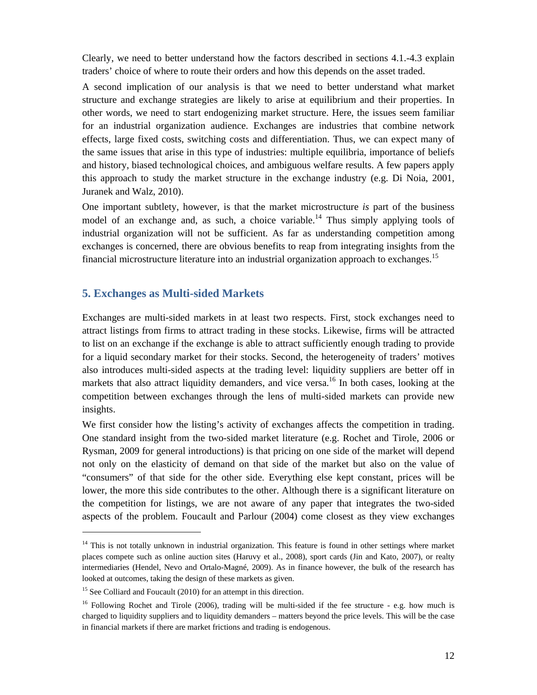Clearly, we need to better understand how the factors described in sections 4.1.-4.3 explain traders' choice of where to route their orders and how this depends on the asset traded.

A second implication of our analysis is that we need to better understand what market structure and exchange strategies are likely to arise at equilibrium and their properties. In other words, we need to start endogenizing market structure. Here, the issues seem familiar for an industrial organization audience. Exchanges are industries that combine network effects, large fixed costs, switching costs and differentiation. Thus, we can expect many of the same issues that arise in this type of industries: multiple equilibria, importance of beliefs and history, biased technological choices, and ambiguous welfare results. A few papers apply this approach to study the market structure in the exchange industry (e.g. Di Noia, 2001, Juranek and Walz, 2010).

One important subtlety, however, is that the market microstructure *is* part of the business model of an exchange and, as such, a choice variable.<sup>14</sup> Thus simply applying tools of industrial organization will not be sufficient. As far as understanding competition among exchanges is concerned, there are obvious benefits to reap from integrating insights from the financial microstructure literature into an industrial organization approach to exchanges.<sup>15</sup>

## **5. Exchanges as Multi-sided Markets**

Exchanges are multi-sided markets in at least two respects. First, stock exchanges need to attract listings from firms to attract trading in these stocks. Likewise, firms will be attracted to list on an exchange if the exchange is able to attract sufficiently enough trading to provide for a liquid secondary market for their stocks. Second, the heterogeneity of traders' motives also introduces multi-sided aspects at the trading level: liquidity suppliers are better off in markets that also attract liquidity demanders, and vice versa.<sup>16</sup> In both cases, looking at the competition between exchanges through the lens of multi-sided markets can provide new insights.

We first consider how the listing's activity of exchanges affects the competition in trading. One standard insight from the two-sided market literature (e.g. Rochet and Tirole, 2006 or Rysman, 2009 for general introductions) is that pricing on one side of the market will depend not only on the elasticity of demand on that side of the market but also on the value of "consumers" of that side for the other side. Everything else kept constant, prices will be lower, the more this side contributes to the other. Although there is a significant literature on the competition for listings, we are not aware of any paper that integrates the two-sided aspects of the problem. Foucault and Parlour (2004) come closest as they view exchanges

 $14$  This is not totally unknown in industrial organization. This feature is found in other settings where market places compete such as online auction sites (Haruvy et al., 2008), sport cards (Jin and Kato, 2007), or realty intermediaries (Hendel, Nevo and Ortalo-Magné, 2009). As in finance however, the bulk of the research has looked at outcomes, taking the design of these markets as given.

<sup>&</sup>lt;sup>15</sup> See Colliard and Foucault (2010) for an attempt in this direction.

<sup>&</sup>lt;sup>16</sup> Following Rochet and Tirole (2006), trading will be multi-sided if the fee structure - e.g. how much is charged to liquidity suppliers and to liquidity demanders – matters beyond the price levels. This will be the case in financial markets if there are market frictions and trading is endogenous.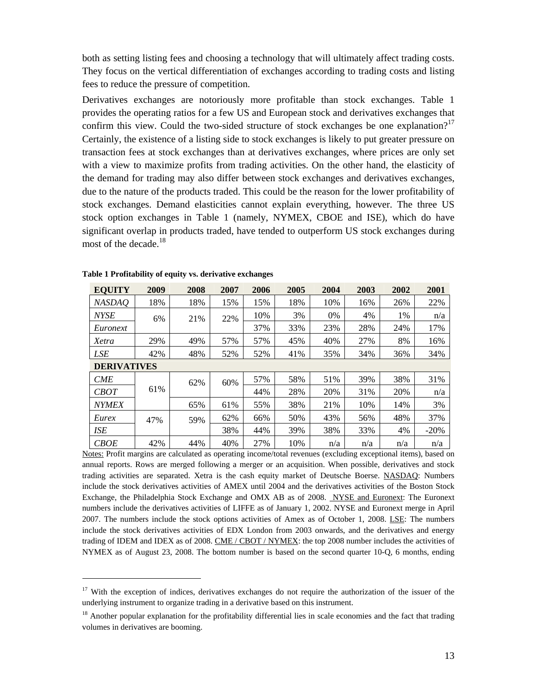both as setting listing fees and choosing a technology that will ultimately affect trading costs. They focus on the vertical differentiation of exchanges according to trading costs and listing fees to reduce the pressure of competition.

Derivatives exchanges are notoriously more profitable than stock exchanges. Table 1 provides the operating ratios for a few US and European stock and derivatives exchanges that confirm this view. Could the two-sided structure of stock exchanges be one explanation?<sup>17</sup> Certainly, the existence of a listing side to stock exchanges is likely to put greater pressure on transaction fees at stock exchanges than at derivatives exchanges, where prices are only set with a view to maximize profits from trading activities. On the other hand, the elasticity of the demand for trading may also differ between stock exchanges and derivatives exchanges, due to the nature of the products traded. This could be the reason for the lower profitability of stock exchanges. Demand elasticities cannot explain everything, however. The three US stock option exchanges in Table 1 (namely, NYMEX, CBOE and ISE), which do have significant overlap in products traded, have tended to outperform US stock exchanges during most of the decade.<sup>18</sup>

| <b>EOUITY</b>      | 2009 | 2008 | 2007 | 2006 | 2005 | 2004 | 2003 | 2002 | 2001   |  |
|--------------------|------|------|------|------|------|------|------|------|--------|--|
| <i>NASDAQ</i>      | 18%  | 18%  | 15%  | 15%  | 18%  | 10%  | 16%  | 26%  | 22%    |  |
| <i>NYSE</i>        | 6%   | 21%  | 22%  | 10%  | 3%   | 0%   | 4%   | 1%   | n/a    |  |
| Euronext           |      |      |      | 37%  | 33%  | 23%  | 28%  | 24%  | 17%    |  |
| Xetra              | 29%  | 49%  | 57%  | 57%  | 45%  | 40%  | 27%  | 8%   | 16%    |  |
| LSE                | 42%  | 48%  | 52%  | 52%  | 41%  | 35%  | 34%  | 36%  | 34%    |  |
| <b>DERIVATIVES</b> |      |      |      |      |      |      |      |      |        |  |
| <b>CME</b>         |      | 62%  | 60%  | 57%  | 58%  | 51%  | 39%  | 38%  | 31%    |  |
| <b>CBOT</b>        | 61%  |      |      | 44%  | 28%  | 20%  | 31%  | 20%  | n/a    |  |
| <b>NYMEX</b>       |      | 65%  | 61%  | 55%  | 38%  | 21%  | 10%  | 14%  | 3%     |  |
| Eurex              | 47%  | 59%  | 62%  | 66%  | 50%  | 43%  | 56%  | 48%  | 37%    |  |
| ISE                |      |      | 38%  | 44%  | 39%  | 38%  | 33%  | 4%   | $-20%$ |  |
| <b>CBOE</b>        | 42%  | 44%  | 40%  | 27%  | 10%  | n/a  | n/a  | n/a  | n/a    |  |

**Table 1 Profitability of equity vs. derivative exchanges** 

-

Notes: Profit margins are calculated as operating income/total revenues (excluding exceptional items), based on annual reports. Rows are merged following a merger or an acquisition. When possible, derivatives and stock trading activities are separated. Xetra is the cash equity market of Deutsche Boerse. NASDAQ: Numbers include the stock derivatives activities of AMEX until 2004 and the derivatives activities of the Boston Stock Exchange, the Philadelphia Stock Exchange and OMX AB as of 2008. NYSE and Euronext: The Euronext numbers include the derivatives activities of LIFFE as of January 1, 2002. NYSE and Euronext merge in April 2007. The numbers include the stock options activities of Amex as of October 1, 2008. LSE: The numbers include the stock derivatives activities of EDX London from 2003 onwards, and the derivatives and energy trading of IDEM and IDEX as of 2008. CME / CBOT / NYMEX: the top 2008 number includes the activities of NYMEX as of August 23, 2008. The bottom number is based on the second quarter 10-Q, 6 months, ending

<sup>&</sup>lt;sup>17</sup> With the exception of indices, derivatives exchanges do not require the authorization of the issuer of the underlying instrument to organize trading in a derivative based on this instrument.

 $18$  Another popular explanation for the profitability differential lies in scale economies and the fact that trading volumes in derivatives are booming.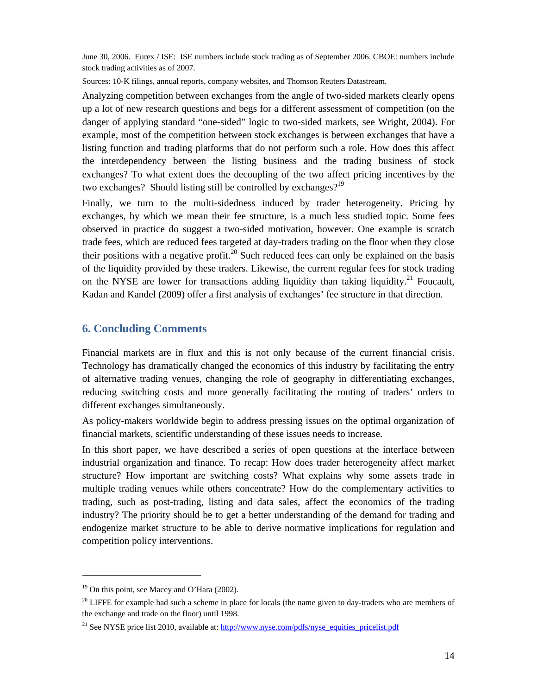June 30, 2006. Eurex / ISE: ISE numbers include stock trading as of September 2006. CBOE: numbers include stock trading activities as of 2007.

Sources: 10-K filings, annual reports, company websites, and Thomson Reuters Datastream.

Analyzing competition between exchanges from the angle of two-sided markets clearly opens up a lot of new research questions and begs for a different assessment of competition (on the danger of applying standard "one-sided" logic to two-sided markets, see Wright, 2004). For example, most of the competition between stock exchanges is between exchanges that have a listing function and trading platforms that do not perform such a role. How does this affect the interdependency between the listing business and the trading business of stock exchanges? To what extent does the decoupling of the two affect pricing incentives by the two exchanges? Should listing still be controlled by exchanges?<sup>19</sup>

Finally, we turn to the multi-sidedness induced by trader heterogeneity. Pricing by exchanges, by which we mean their fee structure, is a much less studied topic. Some fees observed in practice do suggest a two-sided motivation, however. One example is scratch trade fees, which are reduced fees targeted at day-traders trading on the floor when they close their positions with a negative profit.<sup>20</sup> Such reduced fees can only be explained on the basis of the liquidity provided by these traders. Likewise, the current regular fees for stock trading on the NYSE are lower for transactions adding liquidity than taking liquidity.<sup>21</sup> Foucault, Kadan and Kandel (2009) offer a first analysis of exchanges' fee structure in that direction.

## **6. Concluding Comments**

Financial markets are in flux and this is not only because of the current financial crisis. Technology has dramatically changed the economics of this industry by facilitating the entry of alternative trading venues, changing the role of geography in differentiating exchanges, reducing switching costs and more generally facilitating the routing of traders' orders to different exchanges simultaneously.

As policy-makers worldwide begin to address pressing issues on the optimal organization of financial markets, scientific understanding of these issues needs to increase.

In this short paper, we have described a series of open questions at the interface between industrial organization and finance. To recap: How does trader heterogeneity affect market structure? How important are switching costs? What explains why some assets trade in multiple trading venues while others concentrate? How do the complementary activities to trading, such as post-trading, listing and data sales, affect the economics of the trading industry? The priority should be to get a better understanding of the demand for trading and endogenize market structure to be able to derive normative implications for regulation and competition policy interventions.

 $19$  On this point, see Macey and O'Hara (2002).

 $20$  LIFFE for example had such a scheme in place for locals (the name given to day-traders who are members of the exchange and trade on the floor) until 1998.

<sup>&</sup>lt;sup>21</sup> See NYSE price list 2010, available at: http://www.nyse.com/pdfs/nyse\_equities\_pricelist.pdf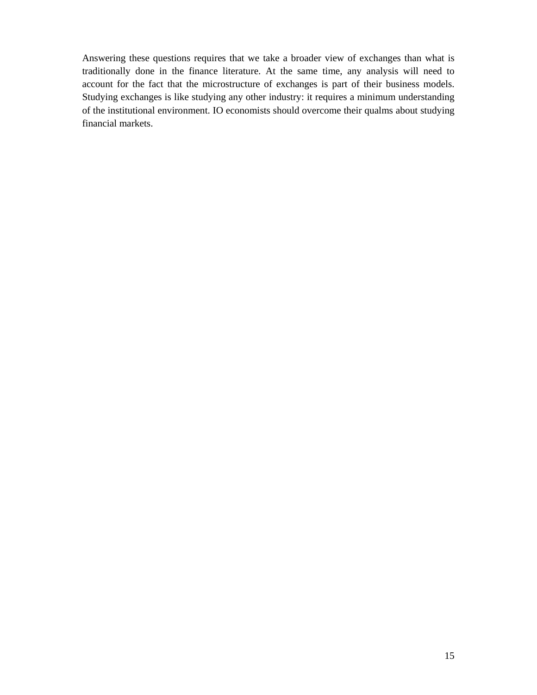Answering these questions requires that we take a broader view of exchanges than what is traditionally done in the finance literature. At the same time, any analysis will need to account for the fact that the microstructure of exchanges is part of their business models. Studying exchanges is like studying any other industry: it requires a minimum understanding of the institutional environment. IO economists should overcome their qualms about studying financial markets.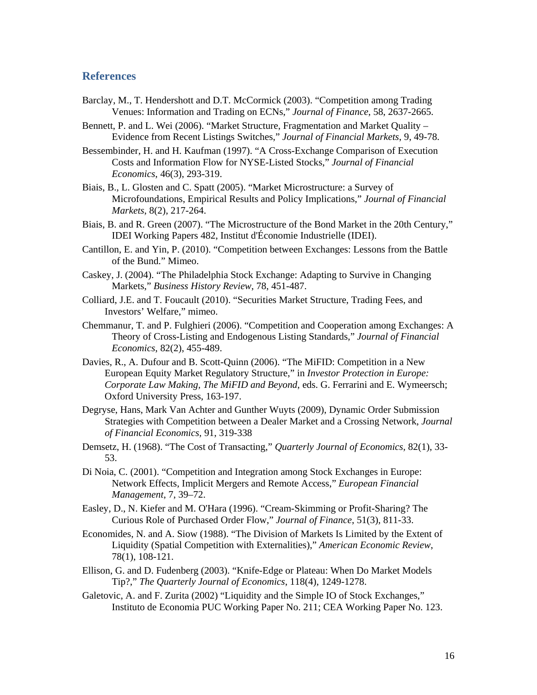#### **References**

- Barclay, M., T. Hendershott and D.T. McCormick (2003). "Competition among Trading Venues: Information and Trading on ECNs," *Journal of Finance*, 58, 2637-2665.
- Bennett, P. and L. Wei (2006). "Market Structure, Fragmentation and Market Quality Evidence from Recent Listings Switches," *Journal of Financial Markets*, 9, 49-78.

Bessembinder, H. and H. Kaufman (1997). "A Cross-Exchange Comparison of Execution Costs and Information Flow for NYSE-Listed Stocks," *Journal of Financial Economics*, 46(3), 293-319.

- Biais, B., L. Glosten and C. Spatt (2005). "Market Microstructure: a Survey of Microfoundations, Empirical Results and Policy Implications," *Journal of Financial Markets*, 8(2), 217-264.
- Biais, B. and R. Green (2007). "The Microstructure of the Bond Market in the 20th Century," IDEI Working Papers 482, Institut d'Économie Industrielle (IDEI).
- Cantillon, E. and Yin, P. (2010). "Competition between Exchanges: Lessons from the Battle of the Bund." Mimeo.
- Caskey, J. (2004). "The Philadelphia Stock Exchange: Adapting to Survive in Changing Markets," *Business History Review*, 78, 451-487.
- Colliard, J.E. and T. Foucault (2010). "Securities Market Structure, Trading Fees, and Investors' Welfare," mimeo.
- Chemmanur, T. and P. Fulghieri (2006). "Competition and Cooperation among Exchanges: A Theory of Cross-Listing and Endogenous Listing Standards," *Journal of Financial Economics*, 82(2), 455-489.
- Davies, R., A. Dufour and B. Scott-Quinn (2006). "The MiFID: Competition in a New European Equity Market Regulatory Structure," in *Investor Protection in Europe: Corporate Law Making, The MiFID and Beyond*, eds. G. Ferrarini and E. Wymeersch; Oxford University Press, 163-197.
- Degryse, Hans, Mark Van Achter and Gunther Wuyts (2009), Dynamic Order Submission Strategies with Competition between a Dealer Market and a Crossing Network, *Journal of Financial Economics,* 91, 319-338
- Demsetz, H. (1968). "The Cost of Transacting," *Quarterly Journal of Economics,* 82(1), 33- 53.
- Di Noia, C. (2001). "Competition and Integration among Stock Exchanges in Europe: Network Effects, Implicit Mergers and Remote Access," *European Financial Management*, 7, 39–72.
- Easley, D., N. Kiefer and M. O'Hara (1996). "Cream-Skimming or Profit-Sharing? The Curious Role of Purchased Order Flow," *Journal of Finance*, 51(3), 811-33.
- Economides, N. and A. Siow (1988). "The Division of Markets Is Limited by the Extent of Liquidity (Spatial Competition with Externalities)," *American Economic Review*, 78(1), 108-121.
- Ellison, G. and D. Fudenberg (2003). "Knife-Edge or Plateau: When Do Market Models Tip?," *The Quarterly Journal of Economics*, 118(4), 1249-1278.
- Galetovic, A. and F. Zurita (2002) "Liquidity and the Simple IO of Stock Exchanges," Instituto de Economia PUC Working Paper No. 211; CEA Working Paper No. 123.